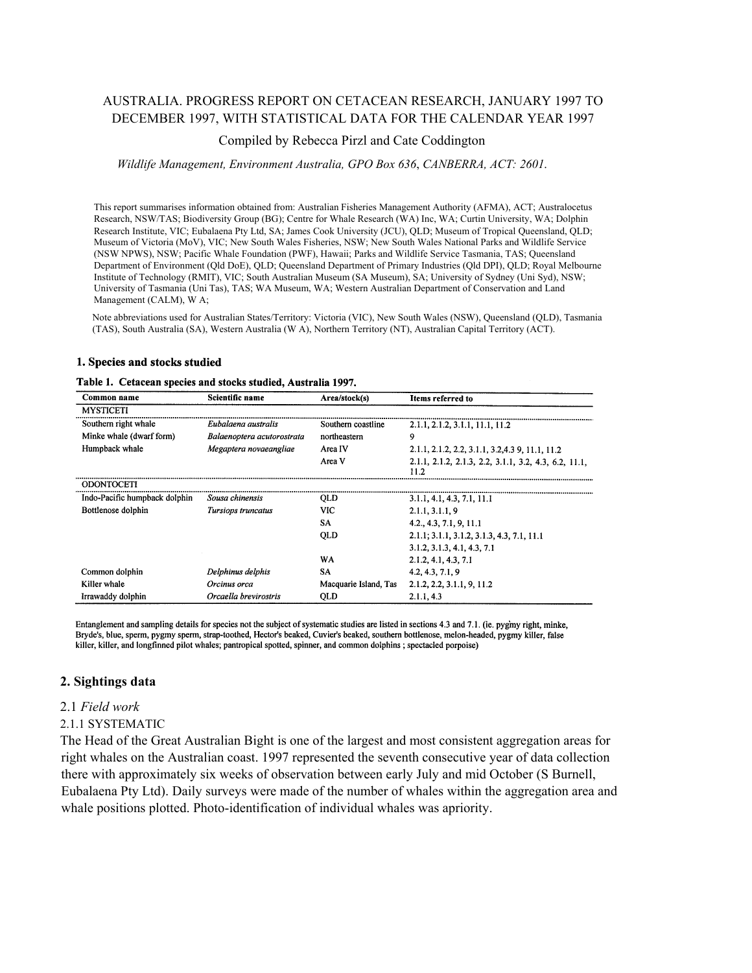# AUSTRALIA. PROGRESS REPORT ON CETACEAN RESEARCH, JANUARY 1997 TO DECEMBER 1997, WITH STATISTICAL DATA FOR THE CALENDAR YEAR 1997

### Compiled by Rebecca Pirzl and Cate Coddington

#### *Wildlife Management, Environment Australia, GPO Box 636*, *CANBERRA, ACT: 2601.*

This report summarises information obtained from: Australian Fisheries Management Authority (AFMA), ACT; Australocetus Research, NSW/TAS; Biodiversity Group (BG); Centre for Whale Research (WA) Inc, WA; Curtin University, WA; Dolphin Research Institute, VIC; Eubalaena Pty Ltd, SA; James Cook University (JCU), QLD; Museum of Tropical Queensland, QLD; Museum of Victoria (MoV), VIC; New South Wales Fisheries, NSW; New South Wales National Parks and Wildlife Service (NSW NPWS), NSW; Pacific Whale Foundation (PWF), Hawaii; Parks and Wildlife Service Tasmania, TAS; Queensland Department of Environment (Qld DoE), QLD; Queensland Department of Primary Industries (Qld DPI), QLD; Royal Melbourne Institute of Technology (RMIT), VIC; South Australian Museum (SA Museum), SA; University of Sydney (Uni Syd), NSW; University of Tasmania (Uni Tas), TAS; WA Museum, WA; Western Australian Department of Conservation and Land Management (CALM), W A;

Note abbreviations used for Australian States/Territory: Victoria (VIC), New South Wales (NSW), Queensland (QLD), Tasmania (TAS), South Australia (SA), Western Australia (W A), Northern Territory (NT), Australian Capital Territory (ACT).

#### 1. Species and stocks studied

#### Table 1. Cetacean species and stocks studied, Australia 1997.

| Common name                   | Scientific name            | Area/stock(s)         | Items referred to                                             |
|-------------------------------|----------------------------|-----------------------|---------------------------------------------------------------|
| <b>MYSTICETI</b>              |                            |                       |                                                               |
| Southern right whale          | Eubalaena australis        | Southern coastline    | 2.1.1, 2.1.2, 3.1.1, 11.1, 11.2                               |
| Minke whale (dwarf form)      | Balaenoptera acutorostrata | northeastern          | 9                                                             |
| Humpback whale                | Megaptera novaeangliae     | Area IV               | 2.1.1, 2.1.2, 2.2, 3.1.1, 3.2, 4.3 9, 11.1, 11.2              |
|                               |                            | Area V                | 2.1.1, 2.1.2, 2.1.3, 2.2, 3.1.1, 3.2, 4.3, 6.2, 11.1,<br>11.2 |
| <b>ODONTOCETI</b>             |                            |                       |                                                               |
| Indo-Pacific humpback dolphin | Sousa chinensis            | QLD                   | 3.1.1, 4.1, 4.3, 7.1, 11.1                                    |
| Bottlenose dolphin            | Tursiops truncatus         | <b>VIC</b>            | 2.1.1, 3.1.1, 9                                               |
|                               |                            | SA                    | 4.2., 4.3, 7.1, 9, 11.1                                       |
|                               |                            | <b>QLD</b>            | 2.1.1; 3.1.1, 3.1.2, 3.1.3, 4.3, 7.1, 11.1                    |
|                               |                            |                       | 3.1.2, 3.1.3, 4.1, 4.3, 7.1                                   |
|                               |                            | WA                    | 2.1.2, 4.1, 4.3, 7.1                                          |
| Common dolphin                | Delphinus delphis          | <b>SA</b>             | 4.2, 4.3, 7.1, 9                                              |
| Killer whale                  | Orcinus orca               | Macquarie Island, Tas | 2.1.2, 2.2, 3.1.1, 9, 11.2                                    |
| Irrawaddy dolphin             | Orcaella brevirostris      | QLD                   | 2.1.1, 4.3                                                    |

Entanglement and sampling details for species not the subject of systematic studies are listed in sections 4.3 and 7.1. (ie. pygmy right, minke, Bryde's, blue, sperm, pygmy sperm, strap-toothed, Hector's beaked, Cuvier's beaked, southern bottlenose, melon-headed, pygmy killer, false killer, killer, and longfinned pilot whales; pantropical spotted, spinner, and common dolphins; spectacled porpoise)

## **2. Sightings data**

#### 2.1 *Field work*

### 2.1.1 SYSTEMATIC

The Head of the Great Australian Bight is one of the largest and most consistent aggregation areas for right whales on the Australian coast. 1997 represented the seventh consecutive year of data collection there with approximately six weeks of observation between early July and mid October (S Burnell, Eubalaena Pty Ltd). Daily surveys were made of the number of whales within the aggregation area and whale positions plotted. Photo-identification of individual whales was apriority.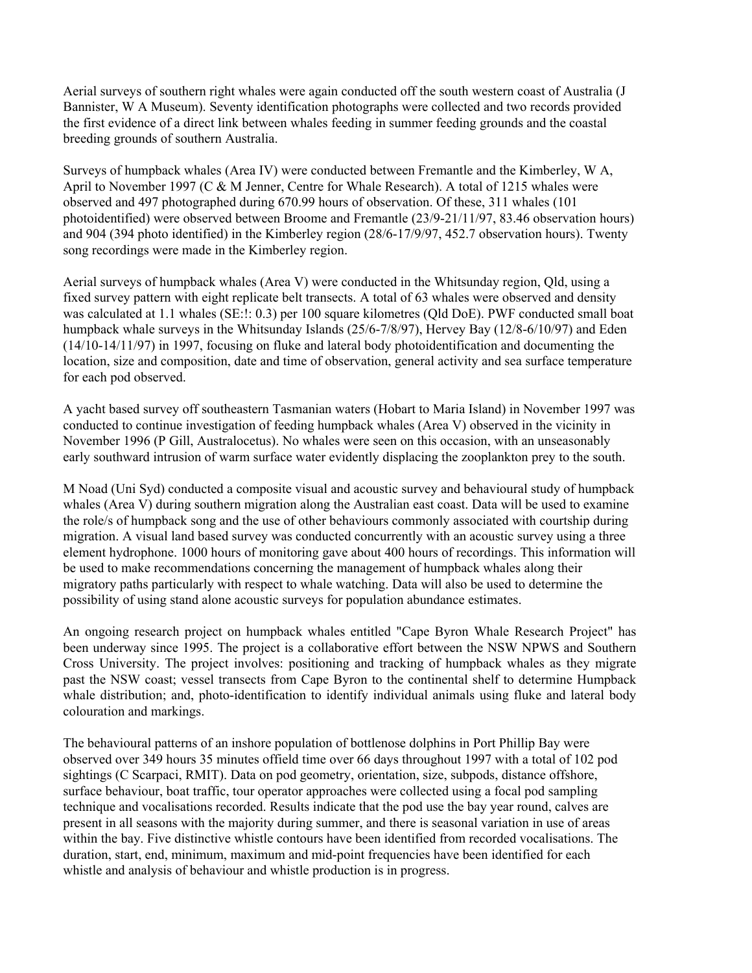Aerial surveys of southern right whales were again conducted off the south western coast of Australia (J Bannister, W A Museum). Seventy identification photographs were collected and two records provided the first evidence of a direct link between whales feeding in summer feeding grounds and the coastal breeding grounds of southern Australia.

Surveys of humpback whales (Area IV) were conducted between Fremantle and the Kimberley, W A, April to November 1997 (C & M Jenner, Centre for Whale Research). A total of 1215 whales were observed and 497 photographed during 670.99 hours of observation. Of these, 311 whales (101 photoidentified) were observed between Broome and Fremantle (23/9-21/11/97, 83.46 observation hours) and 904 (394 photo identified) in the Kimberley region (28/6-17/9/97, 452.7 observation hours). Twenty song recordings were made in the Kimberley region.

Aerial surveys of humpback whales (Area V) were conducted in the Whitsunday region, Qld, using a fixed survey pattern with eight replicate belt transects. A total of 63 whales were observed and density was calculated at 1.1 whales (SE:!: 0.3) per 100 square kilometres (Qld DoE). PWF conducted small boat humpback whale surveys in the Whitsunday Islands (25/6-7/8/97), Hervey Bay (12/8-6/10/97) and Eden (14/10-14/11/97) in 1997, focusing on fluke and lateral body photoidentification and documenting the location, size and composition, date and time of observation, general activity and sea surface temperature for each pod observed.

A yacht based survey off southeastern Tasmanian waters (Hobart to Maria Island) in November 1997 was conducted to continue investigation of feeding humpback whales (Area V) observed in the vicinity in November 1996 (P Gill, Australocetus). No whales were seen on this occasion, with an unseasonably early southward intrusion of warm surface water evidently displacing the zooplankton prey to the south.

M Noad (Uni Syd) conducted a composite visual and acoustic survey and behavioural study of humpback whales (Area V) during southern migration along the Australian east coast. Data will be used to examine the role/s of humpback song and the use of other behaviours commonly associated with courtship during migration. A visual land based survey was conducted concurrently with an acoustic survey using a three element hydrophone. 1000 hours of monitoring gave about 400 hours of recordings. This information will be used to make recommendations concerning the management of humpback whales along their migratory paths particularly with respect to whale watching. Data will also be used to determine the possibility of using stand alone acoustic surveys for population abundance estimates.

An ongoing research project on humpback whales entitled "Cape Byron Whale Research Project" has been underway since 1995. The project is a collaborative effort between the NSW NPWS and Southern Cross University. The project involves: positioning and tracking of humpback whales as they migrate past the NSW coast; vessel transects from Cape Byron to the continental shelf to determine Humpback whale distribution; and, photo-identification to identify individual animals using fluke and lateral body colouration and markings.

The behavioural patterns of an inshore population of bottlenose dolphins in Port Phillip Bay were observed over 349 hours 35 minutes offield time over 66 days throughout 1997 with a total of 102 pod sightings (C Scarpaci, RMIT). Data on pod geometry, orientation, size, subpods, distance offshore, surface behaviour, boat traffic, tour operator approaches were collected using a focal pod sampling technique and vocalisations recorded. Results indicate that the pod use the bay year round, calves are present in all seasons with the majority during summer, and there is seasonal variation in use of areas within the bay. Five distinctive whistle contours have been identified from recorded vocalisations. The duration, start, end, minimum, maximum and mid-point frequencies have been identified for each whistle and analysis of behaviour and whistle production is in progress.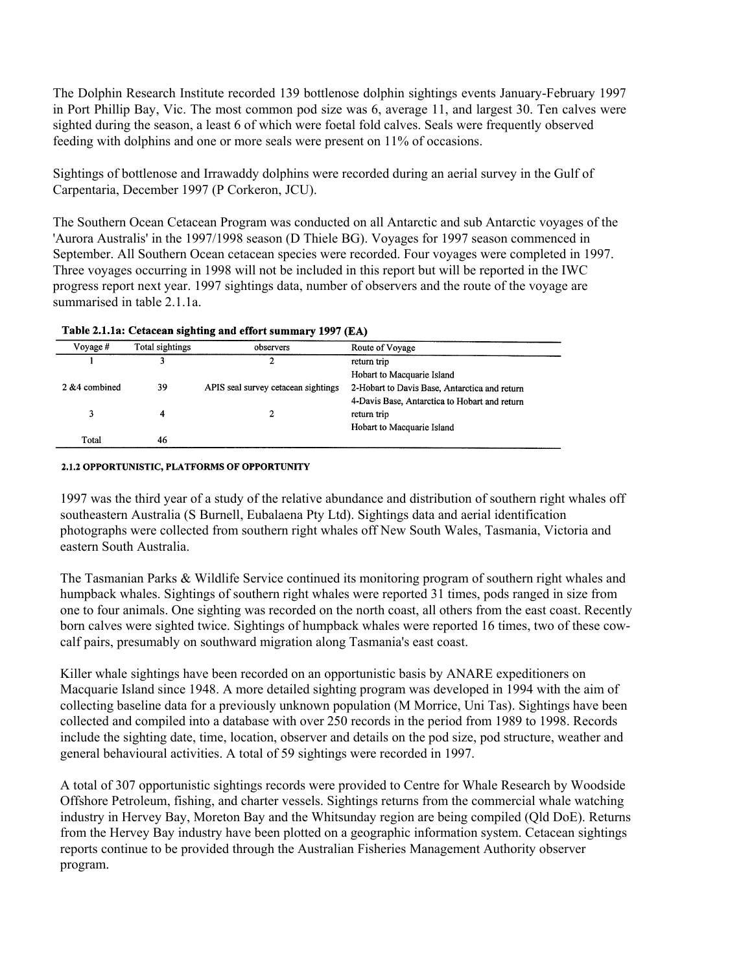The Dolphin Research Institute recorded 139 bottlenose dolphin sightings events January-February 1997 in Port Phillip Bay, Vic. The most common pod size was 6, average 11, and largest 30. Ten calves were sighted during the season, a least 6 of which were foetal fold calves. Seals were frequently observed feeding with dolphins and one or more seals were present on 11% of occasions.

Sightings of bottlenose and Irrawaddy dolphins were recorded during an aerial survey in the Gulf of Carpentaria, December 1997 (P Corkeron, JCU).

The Southern Ocean Cetacean Program was conducted on all Antarctic and sub Antarctic voyages of the 'Aurora Australis' in the 1997/1998 season (D Thiele BG). Voyages for 1997 season commenced in September. All Southern Ocean cetacean species were recorded. Four voyages were completed in 1997. Three voyages occurring in 1998 will not be included in this report but will be reported in the IWC progress report next year. 1997 sightings data, number of observers and the route of the voyage are summarised in table 2.1.1a.

| Total sightings<br>Voyage $#$ |    | observers                           | Route of Voyage                               |
|-------------------------------|----|-------------------------------------|-----------------------------------------------|
|                               |    |                                     | return trip                                   |
|                               |    |                                     | Hobart to Macquarie Island                    |
| 2 & 4 combined                | 39 | APIS seal survey cetacean sightings | 2-Hobart to Davis Base, Antarctica and return |
|                               |    |                                     | 4-Davis Base, Antarctica to Hobart and return |
|                               |    |                                     | return trip                                   |
|                               |    |                                     | Hobart to Macquarie Island                    |
| Total                         | 46 |                                     |                                               |

### Table 2.1.1a: Cetacean sighting and effort summary 1997 (EA)

#### 2.1.2 OPPORTUNISTIC, PLATFORMS OF OPPORTUNITY

1997 was the third year of a study of the relative abundance and distribution of southern right whales off southeastern Australia (S Burnell, Eubalaena Pty Ltd). Sightings data and aerial identification photographs were collected from southern right whales off New South Wales, Tasmania, Victoria and eastern South Australia.

The Tasmanian Parks & Wildlife Service continued its monitoring program of southern right whales and humpback whales. Sightings of southern right whales were reported 31 times, pods ranged in size from one to four animals. One sighting was recorded on the north coast, all others from the east coast. Recently born calves were sighted twice. Sightings of humpback whales were reported 16 times, two of these cowcalf pairs, presumably on southward migration along Tasmania's east coast.

Killer whale sightings have been recorded on an opportunistic basis by ANARE expeditioners on Macquarie Island since 1948. A more detailed sighting program was developed in 1994 with the aim of collecting baseline data for a previously unknown population (M Morrice, Uni Tas). Sightings have been collected and compiled into a database with over 250 records in the period from 1989 to 1998. Records include the sighting date, time, location, observer and details on the pod size, pod structure, weather and general behavioural activities. A total of 59 sightings were recorded in 1997.

A total of 307 opportunistic sightings records were provided to Centre for Whale Research by Woodside Offshore Petroleum, fishing, and charter vessels. Sightings returns from the commercial whale watching industry in Hervey Bay, Moreton Bay and the Whitsunday region are being compiled (Qld DoE). Returns from the Hervey Bay industry have been plotted on a geographic information system. Cetacean sightings reports continue to be provided through the Australian Fisheries Management Authority observer program.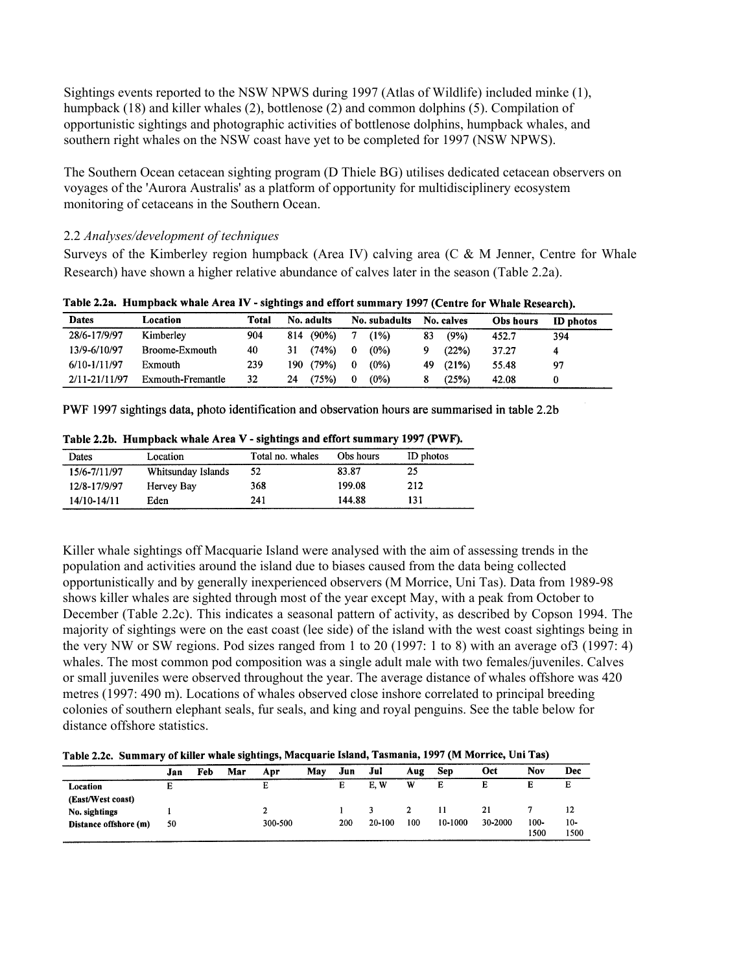Sightings events reported to the NSW NPWS during 1997 (Atlas of Wildlife) included minke (1), humpback (18) and killer whales (2), bottlenose (2) and common dolphins (5). Compilation of opportunistic sightings and photographic activities of bottlenose dolphins, humpback whales, and southern right whales on the NSW coast have yet to be completed for 1997 (NSW NPWS).

The Southern Ocean cetacean sighting program (D Thiele BG) utilises dedicated cetacean observers on voyages of the 'Aurora Australis' as a platform of opportunity for multidisciplinery ecosystem monitoring of cetaceans in the Southern Ocean.

## 2.2 *Analyses/development of techniques*

Surveys of the Kimberley region humpback (Area IV) calving area (C & M Jenner, Centre for Whale Research) have shown a higher relative abundance of calves later in the season (Table 2.2a).

| <b>Dates</b>  | Location          | Total | No. adults |           |          | No. subadults |    | No. calves | Obs hours | <b>ID</b> photos |
|---------------|-------------------|-------|------------|-----------|----------|---------------|----|------------|-----------|------------------|
| 28/6-17/9/97  | Kimberley         | 904   |            | 814 (90%) |          | (1%)          | 83 | (9%)       | 452.7     | 394              |
| 13/9-6/10/97  | Broome-Exmouth    | 40    | 31         | (74%)     | $\bf{0}$ | $(0\%)$       |    | (22%)      | 37.27     |                  |
| 6/10-1/11/97  | Exmouth           | 239   |            | 190 (79%) | $\Omega$ | $(0\%)$       | 49 | (21%)      | 55.48     | 97               |
| 2/11-21/11/97 | Exmouth-Fremantle | 32    | 24         | (75%)     | $\bf{0}$ | $(0\%)$       |    | (25%)      | 42.08     |                  |

Table 2.2a. Humpback whale Area IV - sightings and effort summary 1997 (Centre for Whale Research).

PWF 1997 sightings data, photo identification and observation hours are summarised in table 2.2b

| <b>Dates</b> | Location           | Total no. whales | Obs hours | ID photos |
|--------------|--------------------|------------------|-----------|-----------|
| 15/6-7/11/97 | Whitsunday Islands | 52               | 83.87     | 25        |
| 12/8-17/9/97 | Hervey Bay         | 368              | 199.08    | 212       |
| 14/10-14/11  | Eden               | 241              | 144.88    | 131       |

Table 2.2b. Humpback whale Area V - sightings and effort summary 1997 (PWF).

Killer whale sightings off Macquarie Island were analysed with the aim of assessing trends in the population and activities around the island due to biases caused from the data being collected opportunistically and by generally inexperienced observers (M Morrice, Uni Tas). Data from 1989-98 shows killer whales are sighted through most of the year except May, with a peak from October to December (Table 2.2c). This indicates a seasonal pattern of activity, as described by Copson 1994. The majority of sightings were on the east coast (lee side) of the island with the west coast sightings being in the very NW or SW regions. Pod sizes ranged from 1 to 20 (1997: 1 to 8) with an average of3 (1997: 4) whales. The most common pod composition was a single adult male with two females/juveniles. Calves or small juveniles were observed throughout the year. The average distance of whales offshore was 420 metres (1997: 490 m). Locations of whales observed close inshore correlated to principal breeding colonies of southern elephant seals, fur seals, and king and royal penguins. See the table below for distance offshore statistics.

Table 2.2c. Summary of killer whale sightings, Macquarie Island, Tasmania, 1997 (M Morrice, Uni Tas)

|                       | Jan | Feb | Mar | Apr     | May | Jun | Jul    | Aug | Sep     | Oct     | <b>Nov</b> | Dec   |
|-----------------------|-----|-----|-----|---------|-----|-----|--------|-----|---------|---------|------------|-------|
| Location              | Е   |     |     | E       |     | E   | E.W    | W   | Е       | E       |            | Е     |
| (East/West coast)     |     |     |     |         |     |     |        |     |         |         |            |       |
| No. sightings         |     |     |     |         |     |     |        |     |         | 21      |            | 12    |
| Distance offshore (m) | 50  |     |     | 300-500 |     | 200 | 20-100 | 100 | 10-1000 | 30-2000 | 100-       | $10-$ |
|                       |     |     |     |         |     |     |        |     |         |         | 1500       | 1500  |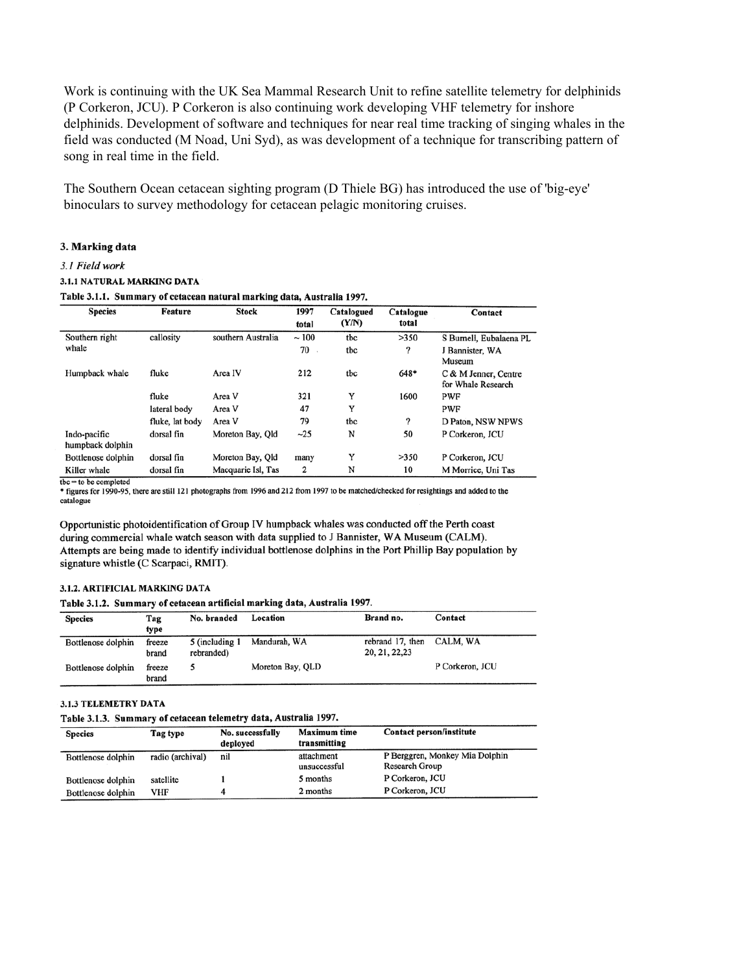Work is continuing with the UK Sea Mammal Research Unit to refine satellite telemetry for delphinids (P Corkeron, JCU). P Corkeron is also continuing work developing VHF telemetry for inshore delphinids. Development of software and techniques for near real time tracking of singing whales in the field was conducted (M Noad, Uni Syd), as was development of a technique for transcribing pattern of song in real time in the field.

The Southern Ocean cetacean sighting program (D Thiele BG) has introduced the use of 'big-eye' binoculars to survey methodology for cetacean pelagic monitoring cruises.

#### 3. Marking data

#### 3.1 Field work

#### 3.1.1 NATURAL MARKING DATA

Table 3.1.1. Summary of cetacean natural marking data, Australia 1997.

| <b>Species</b>                   | Feature         | <b>Stock</b>       | 1997  | Catalogued<br>(Y/N) | Catalogue<br>total | Contact                                    |
|----------------------------------|-----------------|--------------------|-------|---------------------|--------------------|--------------------------------------------|
|                                  |                 |                    | total |                     |                    |                                            |
| Southern right                   | callosity       | southern Australia | ~100  | tbc                 | >350               | S Burnell, Eubalaena PL                    |
| whale                            |                 |                    | 70    | tbc                 | ?                  | J Bannister, WA<br>Museum                  |
| Humpback whale                   | fluke           | Area IV            | 212   | tbc                 | 648*               |                                            |
|                                  |                 |                    |       |                     |                    | C & M Jenner, Centre<br>for Whale Research |
|                                  | fluke           | Area V             | 321   | Y                   | 1600               | <b>PWF</b>                                 |
|                                  | lateral body    | Area V             | 47    | Y                   |                    | <b>PWF</b>                                 |
|                                  | fluke, lat body | Area V             | 79    | tbc                 | ?                  | D Paton, NSW NPWS                          |
| Indo-pacific<br>humpback dolphin | dorsal fin      | Moreton Bay, Old   | $-25$ | N                   | 50                 | P Corkeron, JCU                            |
| Bottlenose dolphin               | dorsal fin      | Moreton Bay, Old   | many  | Y                   | >350               | P Corkeron, JCU                            |
| Killer whale                     | dorsal fin      | Macquarie Isl, Tas | 2     | N                   | 10                 | M Morrice, Uni Tas                         |

\* figures for 1990-95, there are still 121 photographs from 1996 and 212 from 1997 to be matched/checked for resightings and added to the catalogue

Opportunistic photoidentification of Group IV humpback whales was conducted off the Perth coast during commercial whale watch season with data supplied to J Bannister, WA Museum (CALM). Attempts are being made to identify individual bottlenose dolphins in the Port Phillip Bay population by signature whistle (C Scarpaci, RMIT).

### 3.1.2. ARTIFICIAL MARKING DATA

Table 3.1.2. Summary of cetacean artificial marking data, Australia 1997.

| <b>Species</b>     | Tag<br>type     | No. branded                  | Location         | Brand no.                          | Contact         |
|--------------------|-----------------|------------------------------|------------------|------------------------------------|-----------------|
| Bottlenose dolphin | freeze<br>brand | 5 (including 1<br>rebranded) | Mandurah, WA     | rebrand 17, then<br>20, 21, 22, 23 | CALM, WA        |
| Bottlenose dolphin | freeze<br>hrand |                              | Moreton Bay, QLD |                                    | P Corkeron, JCU |

#### 3.1.3 TELEMETRY DATA

Table 3.1.3. Summary of cetacean telemetry data, Australia 1997.

| <b>Species</b>     | Tag type         | No. successfully<br>deployed | <b>Maximum time</b><br>transmitting | Contact person/institute                         |
|--------------------|------------------|------------------------------|-------------------------------------|--------------------------------------------------|
| Bottlenose dolphin | radio (archival) | nil                          | attachment<br>unsuccessful          | P Berggren, Monkey Mia Dolphin<br>Research Group |
| Bottlenose dolphin | satellite        |                              | 5 months                            | P Corkeron, JCU                                  |
| Bottlenose dolphin | VHF              |                              | 2 months                            | P Corkeron, JCU                                  |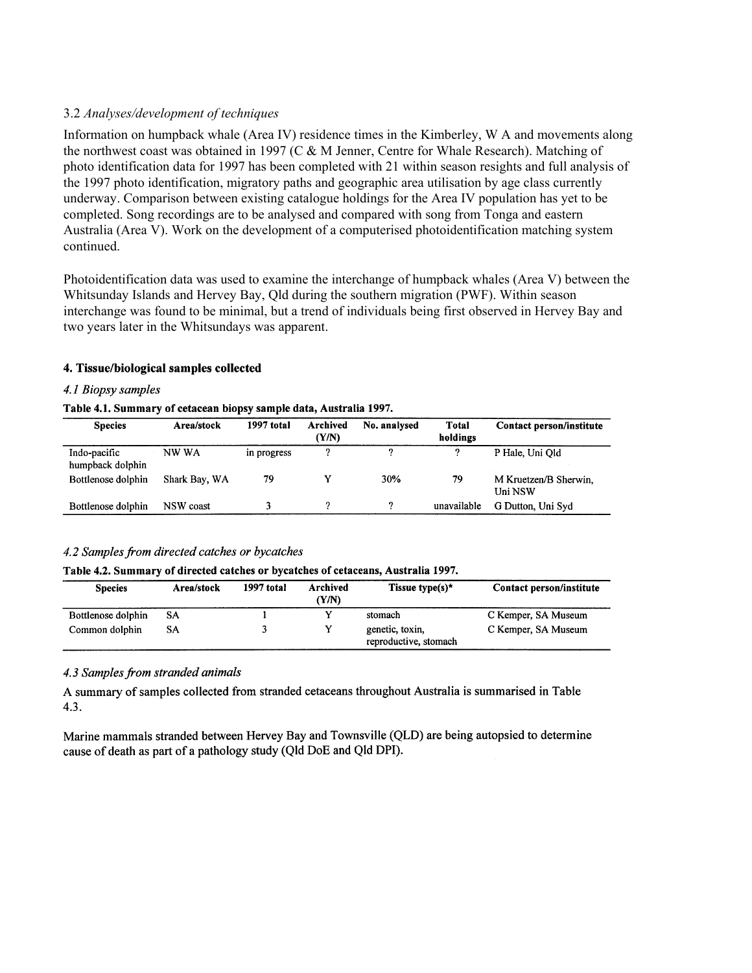## 3.2 *Analyses/development of techniques*

Information on humpback whale (Area IV) residence times in the Kimberley, W A and movements along the northwest coast was obtained in 1997 (C & M Jenner, Centre for Whale Research). Matching of photo identification data for 1997 has been completed with 21 within season resights and full analysis of the 1997 photo identification, migratory paths and geographic area utilisation by age class currently underway. Comparison between existing catalogue holdings for the Area IV population has yet to be completed. Song recordings are to be analysed and compared with song from Tonga and eastern Australia (Area V). Work on the development of a computerised photoidentification matching system continued.

Photoidentification data was used to examine the interchange of humpback whales (Area V) between the Whitsunday Islands and Hervey Bay, Qld during the southern migration (PWF). Within season interchange was found to be minimal, but a trend of individuals being first observed in Hervey Bay and two years later in the Whitsundays was apparent.

### 4. Tissue/biological samples collected

### 4.1 Biopsy samples

### Table 4.1. Summary of cetacean biopsy sample data, Australia 1997.

| <b>Species</b>                   | Area/stock    | 1997 total  | Archived<br>(Y/N) | No. analysed | <b>Total</b><br>holdings | Contact person/institute         |
|----------------------------------|---------------|-------------|-------------------|--------------|--------------------------|----------------------------------|
| Indo-pacific<br>humpback dolphin | NW WA         | in progress |                   | o            | ົ                        | P Hale, Uni Old                  |
| Bottlenose dolphin               | Shark Bay, WA | 79          |                   | 30%          | 79                       | M Kruetzen/B Sherwin,<br>Uni NSW |
| Bottlenose dolphin               | NSW coast     |             |                   | ົ            | unavailable              | G Dutton, Uni Syd                |

### 4.2 Samples from directed catches or bycatches

### Table 4.2. Summary of directed catches or bycatches of cetaceans, Australia 1997.

| <b>Species</b>     | Area/stock | 1997 total | Archived<br>(Y/N) | Tissue type(s)*                          | Contact person/institute |  |
|--------------------|------------|------------|-------------------|------------------------------------------|--------------------------|--|
| Bottlenose dolphin | SA         |            |                   | stomach                                  | C Kemper, SA Museum      |  |
| Common dolphin     | SА         |            |                   | genetic, toxin,<br>reproductive, stomach | C Kemper, SA Museum      |  |

### 4.3 Samples from stranded animals

A summary of samples collected from stranded cetaceans throughout Australia is summarised in Table  $4.3.$ 

Marine mammals stranded between Hervey Bay and Townsville (QLD) are being autopsied to determine cause of death as part of a pathology study (Qld DoE and Qld DPI).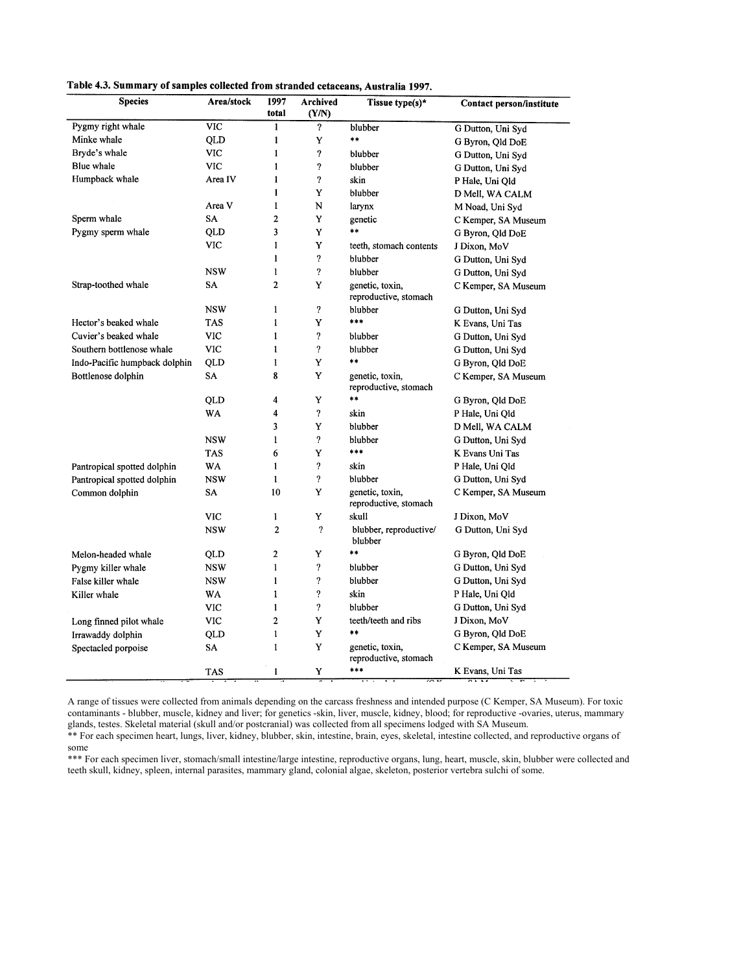|  |  | Table 4.3. Summary of samples collected from stranded cetaceans, Australia 1997. |  |  |  |  |  |  |  |  |  |  |
|--|--|----------------------------------------------------------------------------------|--|--|--|--|--|--|--|--|--|--|
|--|--|----------------------------------------------------------------------------------|--|--|--|--|--|--|--|--|--|--|

| <b>Species</b>                | Area/stock | 1997<br>total  | Archived<br>(Y/N)          | Tissue type(s)*                          | Contact person/institute |
|-------------------------------|------------|----------------|----------------------------|------------------------------------------|--------------------------|
| Pygmy right whale             | <b>VIC</b> | $\mathbf{1}$   | $\overline{?}$             | blubber                                  | G Dutton, Uni Syd        |
| Minke whale                   | QLD        | 1              | Y                          | **                                       | G Byron, Qld DoE         |
| Bryde's whale                 | VIC        | 1              | ?                          | blubber                                  | G Dutton, Uni Syd        |
| Blue whale                    | <b>VIC</b> | $\mathbf{1}$   | $\overline{\mathbf{?}}$    | blubber                                  | G Dutton, Uni Syd        |
| Humpback whale                | Area IV    | 1              | $\boldsymbol{\mathcal{P}}$ | skin                                     | P Hale, Uni Old          |
|                               |            | 1              | Y                          | blubber                                  | D Mell, WA CALM          |
|                               | Area V     | $\mathbf{1}$   | N                          | larynx                                   | M Noad, Uni Syd          |
| Sperm whale                   | SA         | $\overline{c}$ | Y                          | genetic                                  | C Kemper, SA Museum      |
| Pygmy sperm whale             | QLD        | 3              | Y                          | $**$                                     | G Byron, Qld DoE         |
|                               | VIC        | 1              | Y                          | teeth, stomach contents                  | J Dixon, MoV             |
|                               |            | $\mathbf{1}$   | $\boldsymbol{\mathcal{P}}$ | blubber                                  | G Dutton, Uni Syd        |
|                               | <b>NSW</b> | 1              | ?                          | blubber                                  | G Dutton, Uni Syd        |
| Strap-toothed whale           | SA         | 2              | Y                          | genetic, toxin,<br>reproductive, stomach | C Kemper, SA Museum      |
|                               | <b>NSW</b> | $\mathbf{1}$   | ?                          | blubber                                  | G Dutton, Uni Syd        |
| Hector's beaked whale         | TAS        | $\mathbf{1}$   | Y                          | ***                                      | K Evans, Uni Tas         |
| Cuvier's beaked whale         | <b>VIC</b> | $\mathbf{1}$   | ?                          | blubber                                  | G Dutton, Uni Syd        |
| Southern bottlenose whale     | <b>VIC</b> | $\mathbf{1}$   | $\boldsymbol{\mathcal{P}}$ | blubber                                  | G Dutton, Uni Syd        |
| Indo-Pacific humpback dolphin | QLD        | 1              | Y                          | $***$                                    | G Byron, Qld DoE         |
| Bottlenose dolphin            | <b>SA</b>  | 8              | Y                          | genetic, toxin,<br>reproductive, stomach | C Kemper, SA Museum      |
|                               | QLD        | 4              | Y                          | $\dagger$                                | G Byron, Qld DoE         |
|                               | WA         | 4              | $\boldsymbol{\mathcal{P}}$ | skin                                     | P Hale, Uni Qld          |
|                               |            | 3              | Y                          | blubber                                  | D Mell, WA CALM          |
|                               | <b>NSW</b> | 1              | $\boldsymbol{\mathcal{P}}$ | blubber                                  | G Dutton, Uni Syd        |
|                               | <b>TAS</b> | 6              | Y                          | $***$                                    | K Evans Uni Tas          |
| Pantropical spotted dolphin   | WA         | $\mathbf{1}$   | $\boldsymbol{\mathcal{P}}$ | skin                                     | P Hale, Uni Qld          |
| Pantropical spotted dolphin   | <b>NSW</b> | $\mathbf{1}$   | $\boldsymbol{\mathcal{P}}$ | blubber                                  | G Dutton, Uni Syd        |
| Common dolphin                | SA         | 10             | Y                          | genetic, toxin,<br>reproductive, stomach | C Kemper, SA Museum      |
|                               | <b>VIC</b> | I              | Y                          | skull                                    | J Dixon, MoV             |
|                               | <b>NSW</b> | $\overline{2}$ | $\overline{?}$             | blubber, reproductive/<br>blubber        | G Dutton, Uni Syd        |
| Melon-headed whale            | QLD        | $\overline{2}$ | Y                          | $***$                                    | G Byron, Qld DoE         |
| Pygmy killer whale            | <b>NSW</b> | 1              | $\boldsymbol{\mathcal{P}}$ | blubber                                  | G Dutton, Uni Syd        |
| False killer whale            | <b>NSW</b> | $\mathbf{1}$   | $\boldsymbol{\mathcal{C}}$ | blubber                                  | G Dutton, Uni Syd        |
| Killer whale                  | WA         | 1              | ?                          | skin                                     | P Hale, Uni Qld          |
|                               | <b>VIC</b> | $\mathbf{1}$   | $\boldsymbol{\mathcal{P}}$ | blubber                                  | G Dutton, Uni Syd        |
| Long finned pilot whale       | <b>VIC</b> | $\overline{c}$ | Y                          | teeth/teeth and ribs                     | J Dixon, MoV             |
| Irrawaddy dolphin             | QLD        | $\mathbf{1}$   | Y                          | $\ast$                                   | G Byron, Qld DoE         |
| Spectacled porpoise           | SA         | $\mathbf{1}$   | Y                          | genetic, toxin,<br>reproductive, stomach | C Kemper, SA Museum      |
|                               | <b>TAS</b> | 1              | Y                          | ***                                      | K Evans, Uni Tas         |

A range of tissues were collected from animals depending on the carcass freshness and intended purpose (C Kemper, SA Museum). For toxic contaminants - blubber, muscle, kidney and liver; for genetics -skin, liver, muscle, kidney, blood; for reproductive -ovaries, uterus, mammary glands, testes. Skeletal material (skull and/or postcranial) was collected from all specimens lodged with SA Museum.

\*\* For each specimen heart, lungs, liver, kidney, blubber, skin, intestine, brain, eyes, skeletal, intestine collected, and reproductive organs of some

\*\*\* For each specimen liver, stomach/small intestine/large intestine, reproductive organs, lung, heart, muscle, skin, blubber were collected and teeth skull, kidney, spleen, internal parasites, mammary gland, colonial algae, skeleton, posterior vertebra sulchi of some.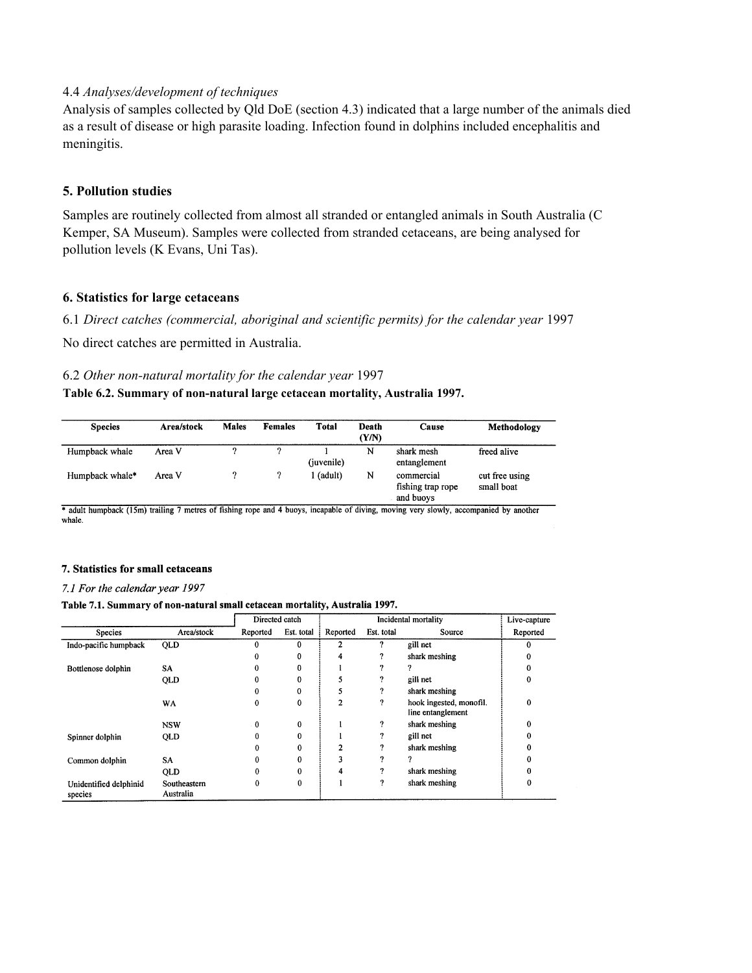# 4.4 *Analyses/development of techniques*

Analysis of samples collected by Qld DoE (section 4.3) indicated that a large number of the animals died as a result of disease or high parasite loading. Infection found in dolphins included encephalitis and meningitis.

## **5. Pollution studies**

Samples are routinely collected from almost all stranded or entangled animals in South Australia (C Kemper, SA Museum). Samples were collected from stranded cetaceans, are being analysed for pollution levels (K Evans, Uni Tas).

## **6. Statistics for large cetaceans**

6.1 *Direct catches (commercial, aboriginal and scientific permits) for the calendar year* 1997

No direct catches are permitted in Australia.

### 6.2 *Other non-natural mortality for the calendar year* 1997

### **Table 6.2. Summary of non-natural large cetacean mortality, Australia 1997.**

| <b>Species</b>  | Area/stock | <b>Males</b> | <b>Females</b> | Total      | Death<br>(Y/N) | Cause                                        | Methodology                  |
|-----------------|------------|--------------|----------------|------------|----------------|----------------------------------------------|------------------------------|
| Humpback whale  | Area V     | റ            | ົາ             | (juvenile) | N              | shark mesh<br>entanglement                   | freed alive                  |
| Humpback whale* | Area V     |              |                | (adult)    | N              | commercial<br>fishing trap rope<br>and buoys | cut free using<br>small boat |

\* adult humpback (15m) trailing 7 metres of fishing rope and 4 buoys, incapable of diving, moving very slowly, accompanied by another whale.

## 7. Statistics for small cetaceans

### 7.1 For the calendar year 1997

#### Table 7.1. Summary of non-natural small cetacean mortality, Australia 1997.

|                                   |                           | Directed catch |            |                |            | Incidental mortality                         | Live-capture |
|-----------------------------------|---------------------------|----------------|------------|----------------|------------|----------------------------------------------|--------------|
| Species                           | Area/stock                | Reported       | Est. total | Reported       | Est. total | Source                                       | Reported     |
| Indo-pacific humpback             | QLD                       |                | 0          |                | ?          | gill net                                     | 0            |
|                                   |                           | 0              | 0          | 4              | ?          | shark meshing                                |              |
| Bottlenose dolphin                | SA                        | 0              | 0          |                | 7          |                                              |              |
|                                   | QLD                       | n              | 0          |                | ?          | gill net                                     | $\Omega$     |
|                                   |                           | 0              | 0          |                | ?          | shark meshing                                |              |
|                                   | WA                        | 0              | $\bf{0}$   | $\overline{2}$ | ?          | hook ingested, monofil.<br>line entanglement | $\Omega$     |
|                                   | <b>NSW</b>                | 0              | $\bf{0}$   |                | ?          | shark meshing                                | 0            |
| Spinner dolphin                   | QLD                       |                | 0          |                | 7          | gill net                                     |              |
|                                   |                           | 0              | 0          | $\overline{2}$ | 9          | shark meshing                                |              |
| Common dolphin                    | SA                        |                | 0          | 3              | n          |                                              |              |
|                                   | <b>QLD</b>                |                | 0          | 4              | 9          | shark meshing                                |              |
| Unidentified delphinid<br>species | Southeastern<br>Australia | 0              | 0          |                | 9          | shark meshing                                |              |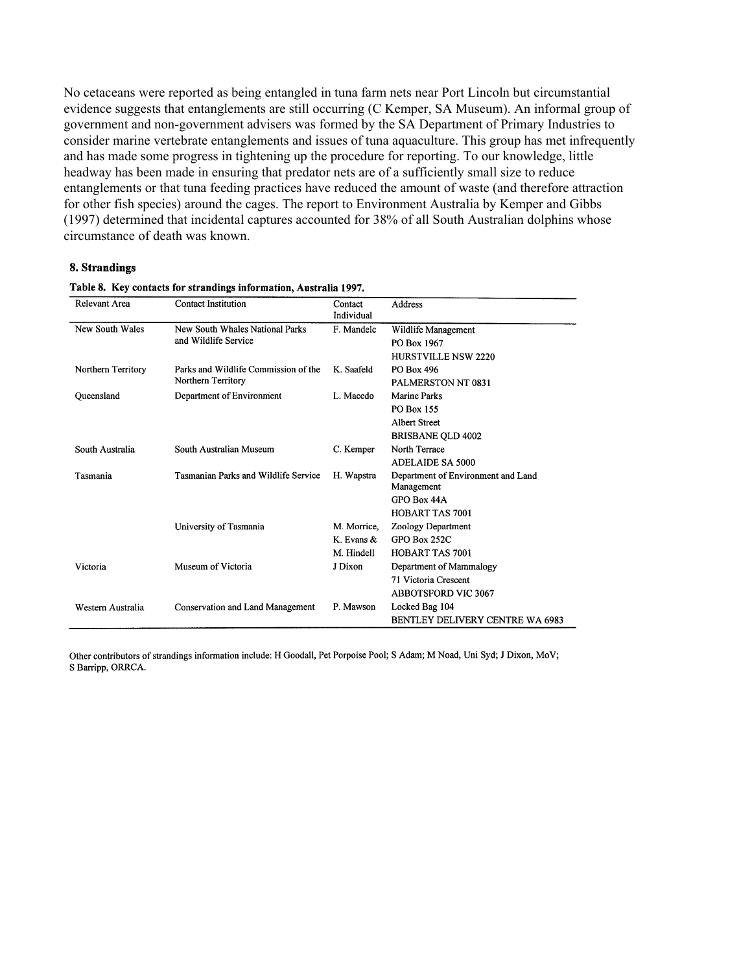No cetaceans were reported as being entangled in tuna farm nets near Port Lincoln but circumstantial evidence suggests that entanglements are still occurring (C Kemper, SA Museum). An informal group of government and non-government advisers was formed by the SA Department of Primary Industries to consider marine vertebrate entanglements and issues of tuna aquaculture. This group has met infrequently and has made some progress in tightening up the procedure for reporting. To our knowledge, little headway has been made in ensuring that predator nets are of a sufficiently small size to reduce entanglements or that tuna feeding practices have reduced the amount of waste (and therefore attraction for other fish species) around the cages. The report to Environment Australia by Kemper and Gibbs (1997) determined that incidental captures accounted for 38% of all South Australian dolphins whose circumstance of death was known.

### 8. Strandings

| Relevant Area      | Contact Institution                         | Contact<br>Individual | Address                            |
|--------------------|---------------------------------------------|-----------------------|------------------------------------|
| New South Wales    | New South Whales National Parks             | F. Mandelc            | Wildlife Management                |
|                    | and Wildlife Service                        |                       | PO Box 1967                        |
|                    |                                             |                       | <b>HURSTVILLE NSW 2220</b>         |
| Northern Territory | Parks and Wildlife Commission of the        | K. Saafeld            | PO Box 496                         |
|                    | Northern Territory                          |                       | PALMERSTON NT 0831                 |
| Queensland         | Department of Environment                   | L. Macedo             | Marine Parks                       |
|                    |                                             |                       | <b>PO Box 155</b>                  |
|                    |                                             |                       | <b>Albert Street</b>               |
|                    |                                             |                       | <b>BRISBANE QLD 4002</b>           |
| South Australia    | South Australian Museum                     | C. Kemper             | North Terrace                      |
|                    |                                             |                       | <b>ADELAIDE SA 5000</b>            |
| Tasmania           | <b>Tasmanian Parks and Wildlife Service</b> | H. Wapstra            | Department of Environment and Land |
|                    |                                             |                       | Management                         |
|                    |                                             |                       | GPO Box 44A                        |
|                    |                                             |                       | HOBART TAS 7001                    |
|                    | University of Tasmania                      | M. Morrice,           | Zoology Department                 |
|                    |                                             | K. Evans &            | <b>GPO Box 252C</b>                |
|                    |                                             | M. Hindell            | <b>HOBART TAS 7001</b>             |
| Victoria           | Museum of Victoria                          | J Dixon               | Department of Mammalogy            |
|                    |                                             |                       | 71 Victoria Crescent               |
|                    |                                             |                       | <b>ABBOTSFORD VIC 3067</b>         |
| Western Australia  | <b>Conservation and Land Management</b>     | P. Mawson             | Locked Bag 104                     |
|                    |                                             |                       | BENTLEY DELIVERY CENTRE WA 6983    |

#### Table 8. Key contacts for strandings information, Australia 1997.

Other contributors of strandings information include: H Goodall, Pet Porpoise Pool; S Adam; M Noad, Uni Syd; J Dixon, MoV; S Barripp, ORRCA.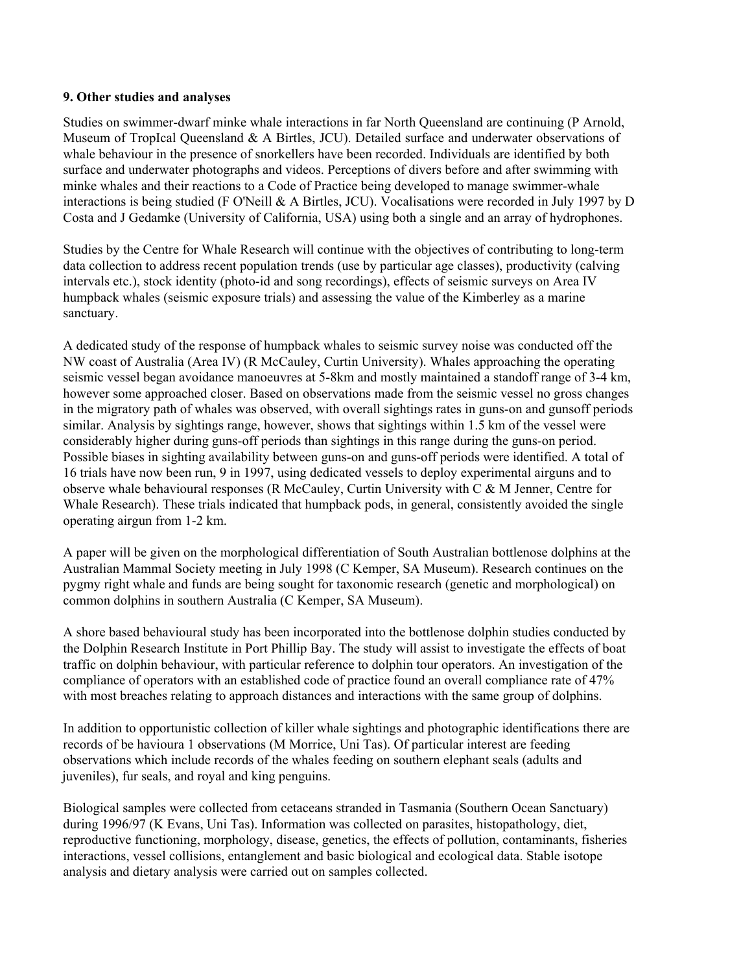## **9. Other studies and analyses**

Studies on swimmer-dwarf minke whale interactions in far North Queensland are continuing (P Arnold, Museum of TropIcal Queensland & A Birtles, JCU). Detailed surface and underwater observations of whale behaviour in the presence of snorkellers have been recorded. Individuals are identified by both surface and underwater photographs and videos. Perceptions of divers before and after swimming with minke whales and their reactions to a Code of Practice being developed to manage swimmer-whale interactions is being studied (F O'Neill & A Birtles, JCU). Vocalisations were recorded in July 1997 by D Costa and J Gedamke (University of California, USA) using both a single and an array of hydrophones.

Studies by the Centre for Whale Research will continue with the objectives of contributing to long-term data collection to address recent population trends (use by particular age classes), productivity (calving intervals etc.), stock identity (photo-id and song recordings), effects of seismic surveys on Area IV humpback whales (seismic exposure trials) and assessing the value of the Kimberley as a marine sanctuary.

A dedicated study of the response of humpback whales to seismic survey noise was conducted off the NW coast of Australia (Area IV) (R McCauley, Curtin University). Whales approaching the operating seismic vessel began avoidance manoeuvres at 5-8km and mostly maintained a standoff range of 3-4 km, however some approached closer. Based on observations made from the seismic vessel no gross changes in the migratory path of whales was observed, with overall sightings rates in guns-on and gunsoff periods similar. Analysis by sightings range, however, shows that sightings within 1.5 km of the vessel were considerably higher during guns-off periods than sightings in this range during the guns-on period. Possible biases in sighting availability between guns-on and guns-off periods were identified. A total of 16 trials have now been run, 9 in 1997, using dedicated vessels to deploy experimental airguns and to observe whale behavioural responses (R McCauley, Curtin University with C & M Jenner, Centre for Whale Research). These trials indicated that humpback pods, in general, consistently avoided the single operating airgun from 1-2 km.

A paper will be given on the morphological differentiation of South Australian bottlenose dolphins at the Australian Mammal Society meeting in July 1998 (C Kemper, SA Museum). Research continues on the pygmy right whale and funds are being sought for taxonomic research (genetic and morphological) on common dolphins in southern Australia (C Kemper, SA Museum).

A shore based behavioural study has been incorporated into the bottlenose dolphin studies conducted by the Dolphin Research Institute in Port Phillip Bay. The study will assist to investigate the effects of boat traffic on dolphin behaviour, with particular reference to dolphin tour operators. An investigation of the compliance of operators with an established code of practice found an overall compliance rate of 47% with most breaches relating to approach distances and interactions with the same group of dolphins.

In addition to opportunistic collection of killer whale sightings and photographic identifications there are records of be havioura 1 observations (M Morrice, Uni Tas). Of particular interest are feeding observations which include records of the whales feeding on southern elephant seals (adults and juveniles), fur seals, and royal and king penguins.

Biological samples were collected from cetaceans stranded in Tasmania (Southern Ocean Sanctuary) during 1996/97 (K Evans, Uni Tas). Information was collected on parasites, histopathology, diet, reproductive functioning, morphology, disease, genetics, the effects of pollution, contaminants, fisheries interactions, vessel collisions, entanglement and basic biological and ecological data. Stable isotope analysis and dietary analysis were carried out on samples collected.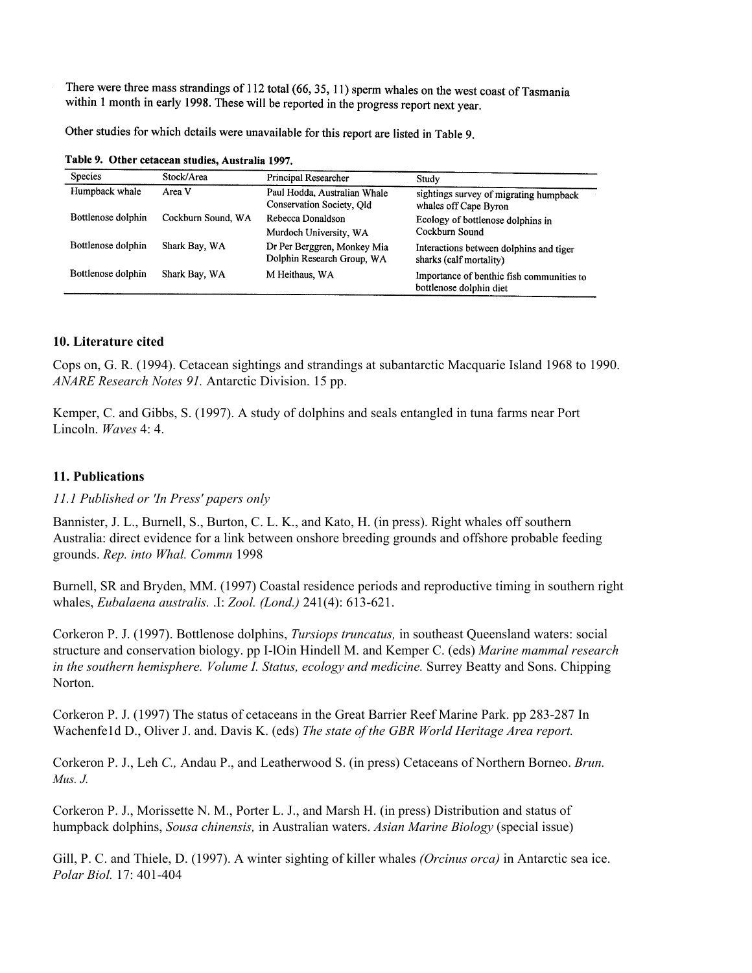There were three mass strandings of 112 total (66, 35, 11) sperm whales on the west coast of Tasmania within 1 month in early 1998. These will be reported in the progress report next year.

Other studies for which details were unavailable for this report are listed in Table 9.

| <b>Species</b>     | Stock/Area         | Principal Researcher                                      | Study                                                                |
|--------------------|--------------------|-----------------------------------------------------------|----------------------------------------------------------------------|
| Humpback whale     | Area V             | Paul Hodda, Australian Whale<br>Conservation Society, Old | sightings survey of migrating humpback<br>whales off Cape Byron      |
| Bottlenose dolphin | Cockburn Sound, WA | Rebecca Donaldson<br>Murdoch University, WA               | Ecology of bottlenose dolphins in<br>Cockburn Sound                  |
| Bottlenose dolphin | Shark Bay, WA      | Dr Per Berggren, Monkey Mia<br>Dolphin Research Group, WA | Interactions between dolphins and tiger<br>sharks (calf mortality)   |
| Bottlenose dolphin | Shark Bay, WA      | M Heithaus, WA                                            | Importance of benthic fish communities to<br>bottlenose dolphin diet |

Table 9. Other cetacean studies, Australia 1997.

# **10. Literature cited**

Cops on, G. R. (1994). Cetacean sightings and strandings at subantarctic Macquarie Island 1968 to 1990. *ANARE Research Notes 91.* Antarctic Division. 15 pp.

Kemper, C. and Gibbs, S. (1997). A study of dolphins and seals entangled in tuna farms near Port Lincoln. *Waves* 4: 4.

# **11. Publications**

# *11.1 Published or 'In Press' papers only*

Bannister, J. L., Burnell, S., Burton, C. L. K., and Kato, H. (in press). Right whales off southern Australia: direct evidence for a link between onshore breeding grounds and offshore probable feeding grounds. *Rep. into Whal. Commn* 1998

Burnell, SR and Bryden, MM. (1997) Coastal residence periods and reproductive timing in southern right whales, *Eubalaena australis.* .I: *Zool. (Lond.)* 241(4): 613-621.

Corkeron P. J. (1997). Bottlenose dolphins, *Tursiops truncatus,* in southeast Queensland waters: social structure and conservation biology. pp I-lOin Hindell M. and Kemper C. (eds) *Marine mammal research in the southern hemisphere. Volume I. Status, ecology and medicine.* Surrey Beatty and Sons. Chipping Norton.

Corkeron P. J. (1997) The status of cetaceans in the Great Barrier Reef Marine Park. pp 283-287 In Wachenfe1d D., Oliver J. and. Davis K. (eds) *The state of the GBR World Heritage Area report.* 

Corkeron P. J., Leh *C.,* Andau P., and Leatherwood S. (in press) Cetaceans of Northern Borneo. *Brun. Mus. J.*

Corkeron P. J., Morissette N. M., Porter L. J., and Marsh H. (in press) Distribution and status of humpback dolphins, *Sousa chinensis,* in Australian waters. *Asian Marine Biology* (special issue)

Gill, P. C. and Thiele, D. (1997). A winter sighting of killer whales *(Orcinus orca)* in Antarctic sea ice. *Polar Biol.* 17: 401-404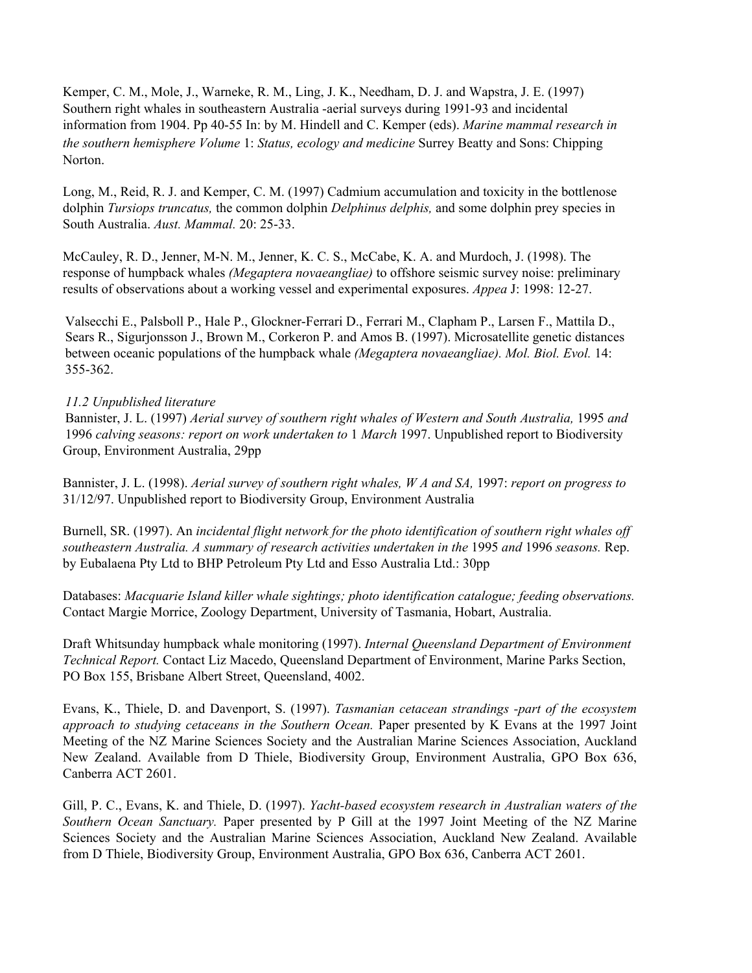Kemper, C. M., Mole, J., Warneke, R. M., Ling, J. K., Needham, D. J. and Wapstra, J. E. (1997) Southern right whales in southeastern Australia -aerial surveys during 1991-93 and incidental information from 1904. Pp 40-55 In: by M. Hindell and C. Kemper (eds). *Marine mammal research in the southern hemisphere Volume* 1: *Status, ecology and medicine* Surrey Beatty and Sons: Chipping Norton.

Long, M., Reid, R. J. and Kemper, C. M. (1997) Cadmium accumulation and toxicity in the bottlenose dolphin *Tursiops truncatus,* the common dolphin *Delphinus delphis,* and some dolphin prey species in South Australia. *Aust. Mammal.* 20: 25-33.

McCauley, R. D., Jenner, M-N. M., Jenner, K. C. S., McCabe, K. A. and Murdoch, J. (1998). The response of humpback whales *(Megaptera novaeangliae)* to offshore seismic survey noise: preliminary results of observations about a working vessel and experimental exposures. *Appea* J: 1998: 12-27.

Valsecchi E., Palsboll P., Hale P., Glockner-Ferrari D., Ferrari M., Clapham P., Larsen F., Mattila D., Sears R., Sigurjonsson J., Brown M., Corkeron P. and Amos B. (1997). Microsatellite genetic distances between oceanic populations of the humpback whale *(Megaptera novaeangliae). Mol. Biol. Evol.* 14: 355-362.

# *11.2 Unpublished literature*

Bannister, J. L. (1997) *Aerial survey of southern right whales of Western and South Australia,* 1995 *and* 1996 *calving seasons: report on work undertaken to* 1 *March* 1997. Unpublished report to Biodiversity Group, Environment Australia, 29pp

Bannister, J. L. (1998). *Aerial survey of southern right whales, W A and SA,* 1997: *report on progress to*  31/12/97. Unpublished report to Biodiversity Group, Environment Australia

Burnell, SR. (1997). An *incidental flight network for the photo identification of southern right whales off southeastern Australia. A summary of research activities undertaken in the* 1995 *and* 1996 *seasons.* Rep. by Eubalaena Pty Ltd to BHP Petroleum Pty Ltd and Esso Australia Ltd.: 30pp

Databases: *Macquarie Island killer whale sightings; photo identification catalogue; feeding observations.*  Contact Margie Morrice, Zoology Department, University of Tasmania, Hobart, Australia.

Draft Whitsunday humpback whale monitoring (1997). *Internal Queensland Department of Environment Technical Report.* Contact Liz Macedo, Queensland Department of Environment, Marine Parks Section, PO Box 155, Brisbane Albert Street, Queensland, 4002.

Evans, K., Thiele, D. and Davenport, S. (1997). *Tasmanian cetacean strandings -part of the ecosystem approach to studying cetaceans in the Southern Ocean.* Paper presented by K Evans at the 1997 Joint Meeting of the NZ Marine Sciences Society and the Australian Marine Sciences Association, Auckland New Zealand. Available from D Thiele, Biodiversity Group, Environment Australia, GPO Box 636, Canberra ACT 2601.

Gill, P. C., Evans, K. and Thiele, D. (1997). *Yacht-based ecosystem research in Australian waters of the Southern Ocean Sanctuary.* Paper presented by P Gill at the 1997 Joint Meeting of the NZ Marine Sciences Society and the Australian Marine Sciences Association, Auckland New Zealand. Available from D Thiele, Biodiversity Group, Environment Australia, GPO Box 636, Canberra ACT 2601.